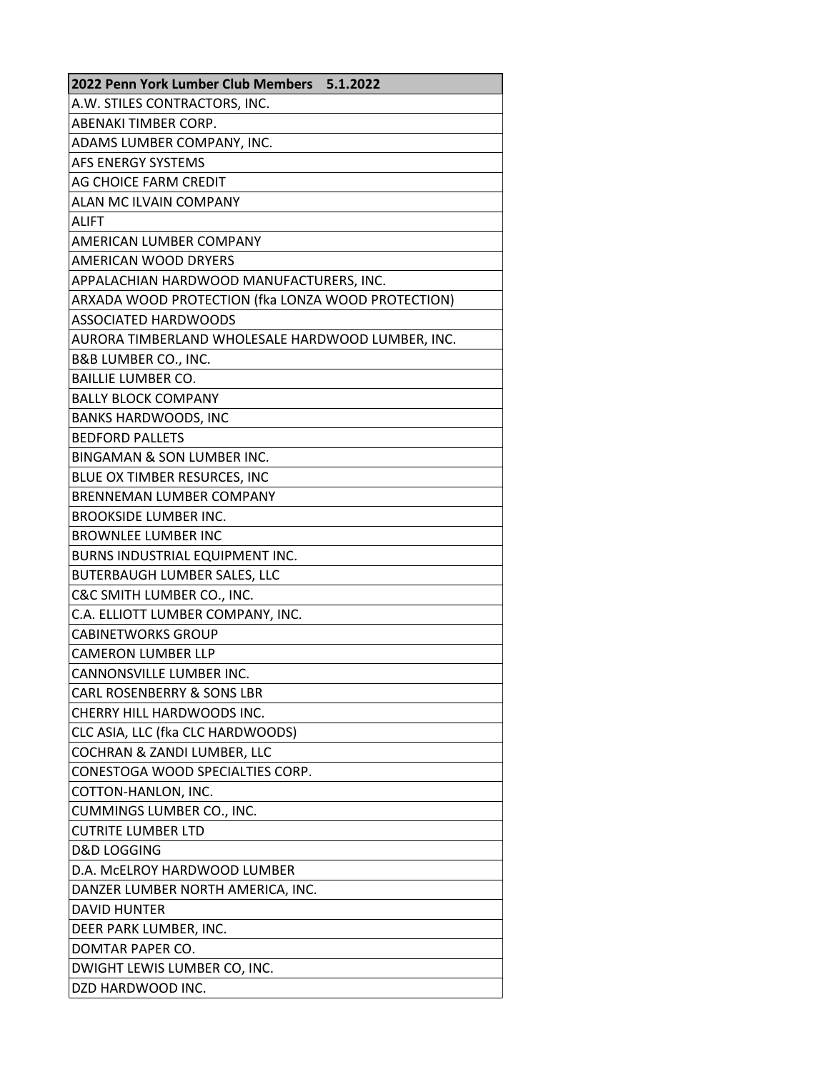| 2022 Penn York Lumber Club Members 5.1.2022        |
|----------------------------------------------------|
| A.W. STILES CONTRACTORS, INC.                      |
| ABENAKI TIMBER CORP.                               |
| ADAMS LUMBER COMPANY, INC.                         |
| AFS ENERGY SYSTEMS                                 |
| AG CHOICE FARM CREDIT                              |
| ALAN MC ILVAIN COMPANY                             |
| <b>ALIFT</b>                                       |
| <b>AMERICAN LUMBER COMPANY</b>                     |
| AMERICAN WOOD DRYERS                               |
| APPALACHIAN HARDWOOD MANUFACTURERS, INC.           |
| ARXADA WOOD PROTECTION (fka LONZA WOOD PROTECTION) |
| <b>ASSOCIATED HARDWOODS</b>                        |
| AURORA TIMBERLAND WHOLESALE HARDWOOD LUMBER, INC.  |
| B&B LUMBER CO., INC.                               |
| <b>BAILLIE LUMBER CO.</b>                          |
| <b>BALLY BLOCK COMPANY</b>                         |
| <b>BANKS HARDWOODS, INC</b>                        |
| <b>BEDFORD PALLETS</b>                             |
| <b>BINGAMAN &amp; SON LUMBER INC.</b>              |
| BLUE OX TIMBER RESURCES, INC                       |
| BRENNEMAN LUMBER COMPANY                           |
| <b>BROOKSIDE LUMBER INC.</b>                       |
| <b>BROWNLEE LUMBER INC</b>                         |
| BURNS INDUSTRIAL EQUIPMENT INC.                    |
| BUTERBAUGH LUMBER SALES, LLC                       |
| C&C SMITH LUMBER CO., INC.                         |
| C.A. ELLIOTT LUMBER COMPANY, INC.                  |
| <b>CABINETWORKS GROUP</b>                          |
| <b>CAMERON LUMBER LLP</b>                          |
| CANNONSVILLE LUMBER INC.                           |
| <b>CARL ROSENBERRY &amp; SONS LBR</b>              |
| CHERRY HILL HARDWOODS INC.                         |
| CLC ASIA, LLC (fka CLC HARDWOODS)                  |
| COCHRAN & ZANDI LUMBER, LLC                        |
| CONESTOGA WOOD SPECIALTIES CORP.                   |
| COTTON-HANLON, INC.                                |
| CUMMINGS LUMBER CO., INC.                          |
| <b>CUTRITE LUMBER LTD</b>                          |
| <b>D&amp;D LOGGING</b>                             |
| D.A. McELROY HARDWOOD LUMBER                       |
| DANZER LUMBER NORTH AMERICA, INC.                  |
| <b>DAVID HUNTER</b>                                |
| DEER PARK LUMBER, INC.                             |
| DOMTAR PAPER CO.                                   |
| DWIGHT LEWIS LUMBER CO, INC.                       |
| DZD HARDWOOD INC.                                  |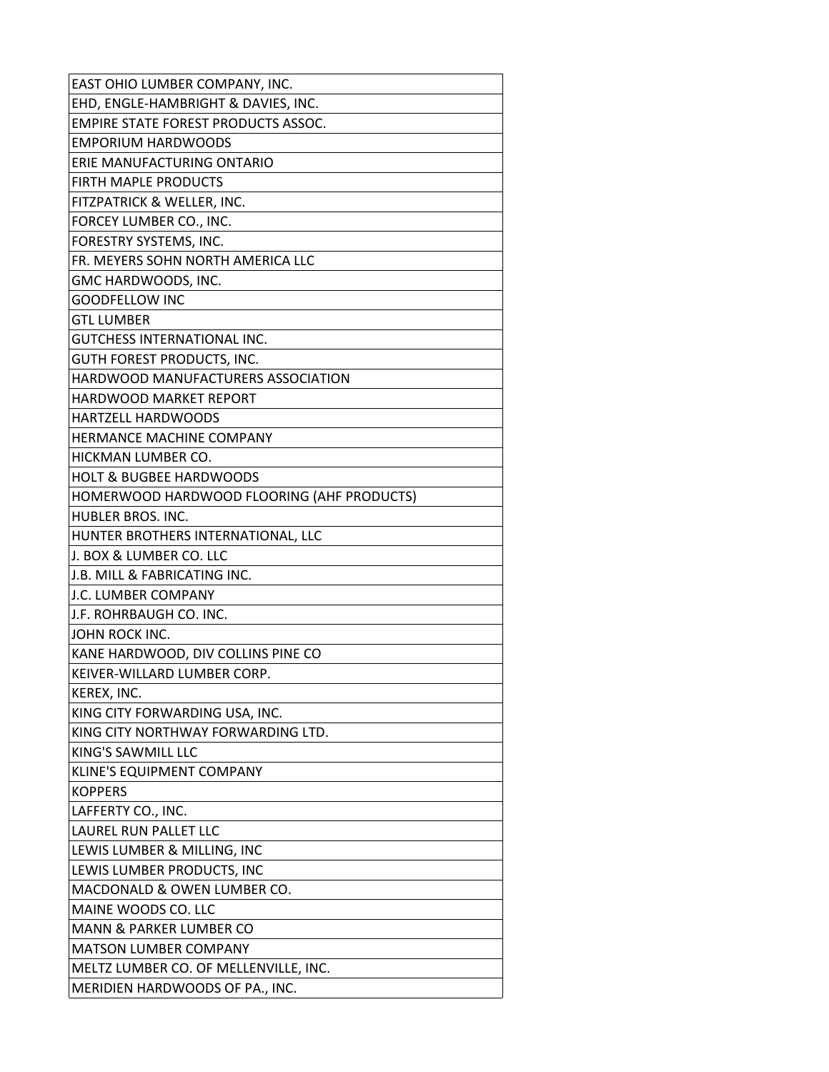| EAST OHIO LUMBER COMPANY, INC.             |
|--------------------------------------------|
| EHD, ENGLE-HAMBRIGHT & DAVIES, INC.        |
| <b>EMPIRE STATE FOREST PRODUCTS ASSOC.</b> |
| <b>EMPORIUM HARDWOODS</b>                  |
| ERIE MANUFACTURING ONTARIO                 |
| <b>FIRTH MAPLE PRODUCTS</b>                |
| FITZPATRICK & WELLER, INC.                 |
| FORCEY LUMBER CO., INC.                    |
| FORESTRY SYSTEMS, INC.                     |
| FR. MEYERS SOHN NORTH AMERICA LLC          |
| GMC HARDWOODS, INC.                        |
| <b>GOODFELLOW INC</b>                      |
| <b>GTL LUMBER</b>                          |
| GUTCHESS INTERNATIONAL INC.                |
| <b>GUTH FOREST PRODUCTS, INC.</b>          |
| HARDWOOD MANUFACTURERS ASSOCIATION         |
| <b>HARDWOOD MARKET REPORT</b>              |
| <b>HARTZELL HARDWOODS</b>                  |
| HERMANCE MACHINE COMPANY                   |
| HICKMAN LUMBER CO.                         |
| <b>HOLT &amp; BUGBEE HARDWOODS</b>         |
| HOMERWOOD HARDWOOD FLOORING (AHF PRODUCTS) |
| HUBLER BROS. INC.                          |
| HUNTER BROTHERS INTERNATIONAL, LLC         |
| J. BOX & LUMBER CO. LLC                    |
| J.B. MILL & FABRICATING INC.               |
| J.C. LUMBER COMPANY                        |
| J.F. ROHRBAUGH CO. INC.                    |
| JOHN ROCK INC.                             |
| KANE HARDWOOD, DIV COLLINS PINE CO         |
| KEIVER-WILLARD LUMBER CORP.                |
| KEREX, INC.                                |
| KING CITY FORWARDING USA, INC.             |
| KING CITY NORTHWAY FORWARDING LTD.         |
| KING'S SAWMILL LLC                         |
| KLINE'S EQUIPMENT COMPANY                  |
| <b>KOPPERS</b>                             |
| LAFFERTY CO., INC.                         |
| LAUREL RUN PALLET LLC                      |
| LEWIS LUMBER & MILLING, INC                |
| LEWIS LUMBER PRODUCTS, INC                 |
| MACDONALD & OWEN LUMBER CO.                |
| MAINE WOODS CO. LLC                        |
| MANN & PARKER LUMBER CO                    |
| <b>MATSON LUMBER COMPANY</b>               |
| MELTZ LUMBER CO. OF MELLENVILLE, INC.      |
| MERIDIEN HARDWOODS OF PA., INC.            |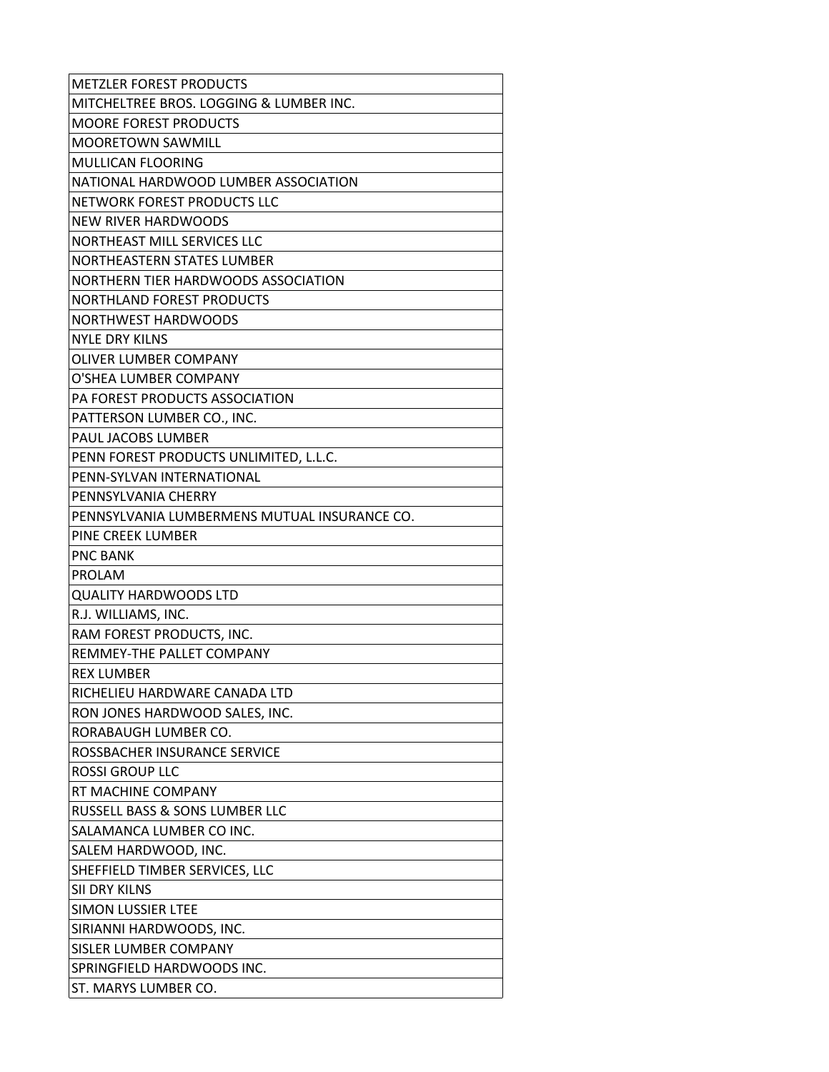| <b>METZLER FOREST PRODUCTS</b>               |
|----------------------------------------------|
| MITCHELTREE BROS. LOGGING & LUMBER INC.      |
| <b>MOORE FOREST PRODUCTS</b>                 |
| <b>MOORETOWN SAWMILL</b>                     |
| <b>MULLICAN FLOORING</b>                     |
| NATIONAL HARDWOOD LUMBER ASSOCIATION         |
| NETWORK FOREST PRODUCTS LLC                  |
| NEW RIVER HARDWOODS                          |
| NORTHEAST MILL SERVICES LLC                  |
| NORTHEASTERN STATES LUMBER                   |
| NORTHERN TIER HARDWOODS ASSOCIATION          |
| <b>NORTHLAND FOREST PRODUCTS</b>             |
| NORTHWEST HARDWOODS                          |
| <b>NYLE DRY KILNS</b>                        |
| OLIVER LUMBER COMPANY                        |
| O'SHEA LUMBER COMPANY                        |
| PA FOREST PRODUCTS ASSOCIATION               |
| PATTERSON LUMBER CO., INC.                   |
| PAUL JACOBS LUMBER                           |
| PENN FOREST PRODUCTS UNLIMITED, L.L.C.       |
| PENN-SYLVAN INTERNATIONAL                    |
| PENNSYLVANIA CHERRY                          |
| PENNSYLVANIA LUMBERMENS MUTUAL INSURANCE CO. |
| PINE CREEK LUMBER                            |
| <b>PNC BANK</b>                              |
| <b>PROLAM</b>                                |
| QUALITY HARDWOODS LTD                        |
| R.J. WILLIAMS, INC.                          |
| RAM FOREST PRODUCTS, INC.                    |
| REMMEY-THE PALLET COMPANY                    |
| <b>REX LUMBER</b>                            |
| RICHELIEU HARDWARE CANADA LTD                |
| RON JONES HARDWOOD SALES, INC.               |
| RORABAUGH LUMBER CO.                         |
| ROSSBACHER INSURANCE SERVICE                 |
| ROSSI GROUP LLC                              |
| RT MACHINE COMPANY                           |
| RUSSELL BASS & SONS LUMBER LLC               |
| SALAMANCA LUMBER CO INC.                     |
| SALEM HARDWOOD, INC.                         |
| SHEFFIELD TIMBER SERVICES, LLC               |
| SII DRY KILNS                                |
| SIMON LUSSIER LTEE                           |
| SIRIANNI HARDWOODS, INC.                     |
| SISLER LUMBER COMPANY                        |
| SPRINGFIELD HARDWOODS INC.                   |
| ST. MARYS LUMBER CO.                         |